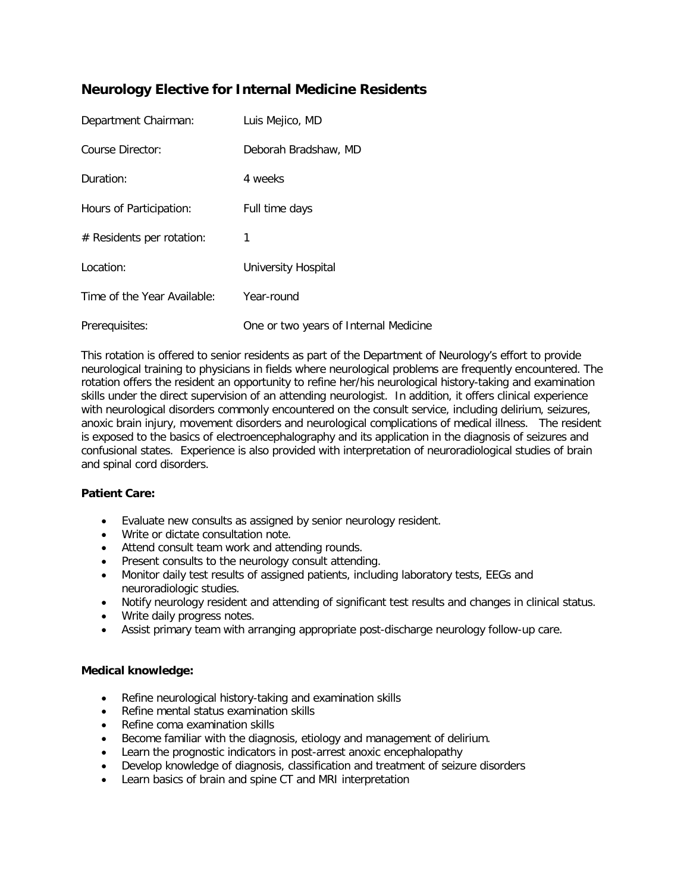# **Neurology Elective for Internal Medicine Residents**

| Department Chairman:        | Luis Mejico, MD                       |
|-----------------------------|---------------------------------------|
| Course Director:            | Deborah Bradshaw, MD                  |
| Duration:                   | 4 weeks                               |
| Hours of Participation:     | Full time days                        |
| $#$ Residents per rotation: | 1                                     |
| Location:                   | <b>University Hospital</b>            |
| Time of the Year Available: | Year-round                            |
| Prerequisites:              | One or two years of Internal Medicine |

This rotation is offered to senior residents as part of the Department of Neurology's effort to provide neurological training to physicians in fields where neurological problems are frequently encountered. The rotation offers the resident an opportunity to refine her/his neurological history-taking and examination skills under the direct supervision of an attending neurologist. In addition, it offers clinical experience with neurological disorders commonly encountered on the consult service, including delirium, seizures, anoxic brain injury, movement disorders and neurological complications of medical illness. The resident is exposed to the basics of electroencephalography and its application in the diagnosis of seizures and confusional states. Experience is also provided with interpretation of neuroradiological studies of brain and spinal cord disorders.

## **Patient Care:**

- Evaluate new consults as assigned by senior neurology resident.
- Write or dictate consultation note.
- Attend consult team work and attending rounds.
- Present consults to the neurology consult attending.
- Monitor daily test results of assigned patients, including laboratory tests, EEGs and neuroradiologic studies.
- Notify neurology resident and attending of significant test results and changes in clinical status.
- Write daily progress notes.
- Assist primary team with arranging appropriate post-discharge neurology follow-up care.

#### **Medical knowledge:**

- Refine neurological history-taking and examination skills
- Refine mental status examination skills
- Refine coma examination skills
- Become familiar with the diagnosis, etiology and management of delirium.
- Learn the prognostic indicators in post-arrest anoxic encephalopathy
- Develop knowledge of diagnosis, classification and treatment of seizure disorders
- Learn basics of brain and spine CT and MRI interpretation